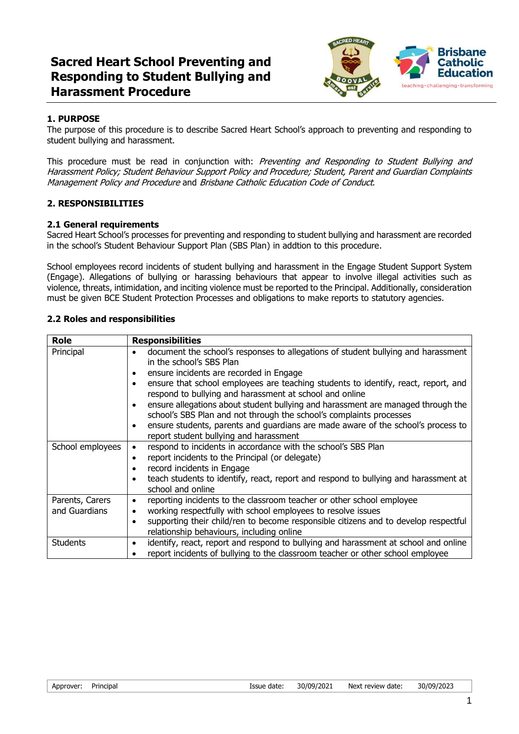

## **1. PURPOSE**

The purpose of this procedure is to describe Sacred Heart School's approach to preventing and responding to student bullying and harassment.

This procedure must be read in conjunction with: Preventing and Responding to Student Bullying and Harassment Policy; Student Behaviour Support Policy and Procedure; Student, Parent and Guardian Complaints Management Policy and Procedure and Brisbane Catholic Education Code of Conduct.

### **2. RESPONSIBILITIES**

### **2.1 General requirements**

Sacred Heart School's processes for preventing and responding to student bullying and harassment are recorded in the school's Student Behaviour Support Plan (SBS Plan) in addtion to this procedure.

School employees record incidents of student bullying and harassment in the Engage Student Support System (Engage). Allegations of bullying or harassing behaviours that appear to involve illegal activities such as violence, threats, intimidation, and inciting violence must be reported to the Principal. Additionally, consideration must be given BCE Student Protection Processes and obligations to make reports to statutory agencies.

### **2.2 Roles and responsibilities**

| <b>Role</b>      | <b>Responsibilities</b>                                                                                                                                                    |
|------------------|----------------------------------------------------------------------------------------------------------------------------------------------------------------------------|
| Principal        | document the school's responses to allegations of student bullying and harassment<br>$\bullet$<br>in the school's SBS Plan                                                 |
|                  | ensure incidents are recorded in Engage<br>$\bullet$                                                                                                                       |
|                  | ensure that school employees are teaching students to identify, react, report, and<br>$\bullet$<br>respond to bullying and harassment at school and online                 |
|                  | ensure allegations about student bullying and harassment are managed through the<br>$\bullet$<br>school's SBS Plan and not through the school's complaints processes       |
|                  | ensure students, parents and guardians are made aware of the school's process to<br>$\bullet$<br>report student bullying and harassment                                    |
| School employees | respond to incidents in accordance with the school's SBS Plan<br>$\bullet$                                                                                                 |
|                  | report incidents to the Principal (or delegate)<br>$\bullet$                                                                                                               |
|                  | record incidents in Engage<br>٠                                                                                                                                            |
|                  | teach students to identify, react, report and respond to bullying and harassment at<br>$\bullet$<br>school and online                                                      |
| Parents, Carers  | reporting incidents to the classroom teacher or other school employee<br>$\bullet$                                                                                         |
| and Guardians    | working respectfully with school employees to resolve issues<br>$\bullet$                                                                                                  |
|                  | supporting their child/ren to become responsible citizens and to develop respectful<br>$\bullet$<br>relationship behaviours, including online                              |
| <b>Students</b>  | identify, react, report and respond to bullying and harassment at school and online<br>٠<br>report incidents of bullying to the classroom teacher or other school employee |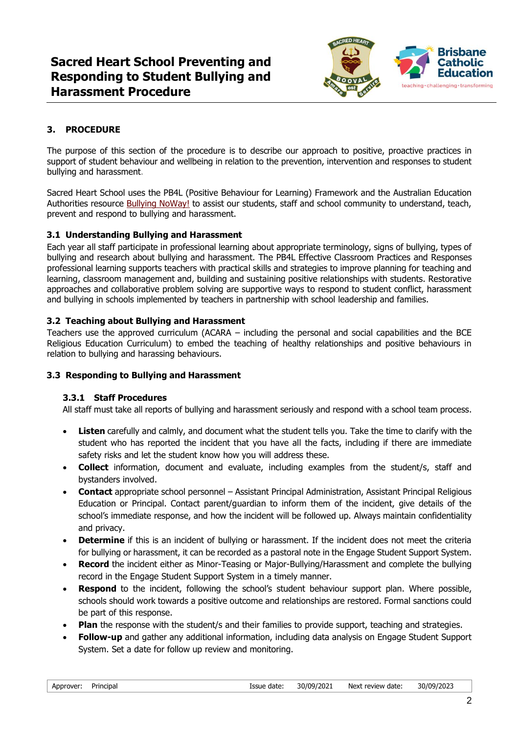

## **3. PROCEDURE**

The purpose of this section of the procedure is to describe our approach to positive, proactive practices in support of student behaviour and wellbeing in relation to the prevention, intervention and responses to student bullying and harassment.

Sacred Heart School uses the PB4L (Positive Behaviour for Learning) Framework and the Australian Education Authorities resource [Bullying NoWay!](https://bullyingnoway.gov.au/) to assist our students, staff and school community to understand, teach, prevent and respond to bullying and harassment.

### **3.1 Understanding Bullying and Harassment**

Each year all staff participate in professional learning about appropriate terminology, signs of bullying, types of bullying and research about bullying and harassment. The PB4L Effective Classroom Practices and Responses professional learning supports teachers with practical skills and strategies to improve planning for teaching and learning, classroom management and, building and sustaining positive relationships with students. Restorative approaches and collaborative problem solving are supportive ways to respond to student conflict, harassment and bullying in schools implemented by teachers in partnership with school leadership and families.

### **3.2 Teaching about Bullying and Harassment**

Teachers use the approved curriculum (ACARA – including the personal and social capabilities and the BCE Religious Education Curriculum) to embed the teaching of healthy relationships and positive behaviours in relation to bullying and harassing behaviours.

#### **3.3 Responding to Bullying and Harassment**

#### **3.3.1 Staff Procedures**

All staff must take all reports of bullying and harassment seriously and respond with a school team process.

- **Listen** carefully and calmly, and document what the student tells you. Take the time to clarify with the student who has reported the incident that you have all the facts, including if there are immediate safety risks and let the student know how you will address these.
- **Collect** information, document and evaluate, including examples from the student/s, staff and bystanders involved.
- **Contact** appropriate school personnel Assistant Principal Administration, Assistant Principal Religious Education or Principal. Contact parent/guardian to inform them of the incident, give details of the school's immediate response, and how the incident will be followed up. Always maintain confidentiality and privacy.
- **Determine** if this is an incident of bullying or harassment. If the incident does not meet the criteria for bullying or harassment, it can be recorded as a pastoral note in the Engage Student Support System.
- **Record** the incident either as Minor-Teasing or Major-Bullying/Harassment and complete the bullying record in the Engage Student Support System in a timely manner.
- **Respond** to the incident, following the school's student behaviour support plan. Where possible, schools should work towards a positive outcome and relationships are restored. Formal sanctions could be part of this response.
- **Plan** the response with the student/s and their families to provide support, teaching and strategies.
- **Follow-up** and gather any additional information, including data analysis on Engage Student Support System. Set a date for follow up review and monitoring.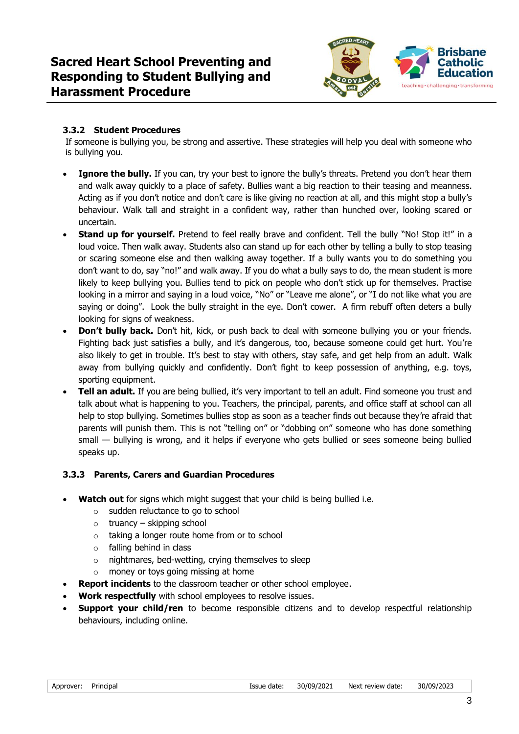

## **3.3.2 Student Procedures**

If someone is bullying you, be strong and assertive. These strategies will help you deal with someone who is bullying you.

- **Ignore the bully.** If you can, try your best to ignore the bully's threats. Pretend you don't hear them and walk away quickly to a place of safety. Bullies want a big reaction to their teasing and meanness. Acting as if you don't notice and don't care is like giving no reaction at all, and this might stop a bully's behaviour. Walk tall and straight in a confident way, rather than hunched over, looking scared or uncertain.
- **Stand up for yourself.** Pretend to feel really brave and confident. Tell the bully "No! Stop it!" in a loud voice. Then walk away. Students also can stand up for each other by telling a bully to stop teasing or scaring someone else and then walking away together. If a bully wants you to do something you don't want to do, say "no!" and walk away. If you do what a bully says to do, the mean student is more likely to keep bullying you. Bullies tend to pick on people who don't stick up for themselves. Practise looking in a mirror and saying in a loud voice, "No" or "Leave me alone", or "I do not like what you are saying or doing". Look the bully straight in the eye. Don't cower. A firm rebuff often deters a bully looking for signs of weakness.
- **Don't bully back.** Don't hit, kick, or push back to deal with someone bullying you or your friends. Fighting back just satisfies a bully, and it's dangerous, too, because someone could get hurt. You're also likely to get in trouble. It's best to stay with others, stay safe, and get help from an adult. Walk away from bullying quickly and confidently. Don't fight to keep possession of anything, e.g. toys, sporting equipment.
- **Tell an adult.** If you are being bullied, it's very important to tell an adult. Find someone you trust and talk about what is happening to you. Teachers, the principal, parents, and office staff at school can all help to stop bullying. Sometimes bullies stop as soon as a teacher finds out because they're afraid that parents will punish them. This is not "telling on" or "dobbing on" someone who has done something small — bullying is wrong, and it helps if everyone who gets bullied or sees someone being bullied speaks up.

### **3.3.3 Parents, Carers and Guardian Procedures**

- **Watch out** for signs which might suggest that your child is being bullied i.e.
	- o sudden reluctance to go to school
	- $\circ$  truancy skipping school
	- o taking a longer route home from or to school
	- o falling behind in class
	- o nightmares, bed-wetting, crying themselves to sleep
	- o money or toys going missing at home
- **Report incidents** to the classroom teacher or other school employee.
- **Work respectfully** with school employees to resolve issues.
- **Support your child/ren** to become responsible citizens and to develop respectful relationship behaviours, including online.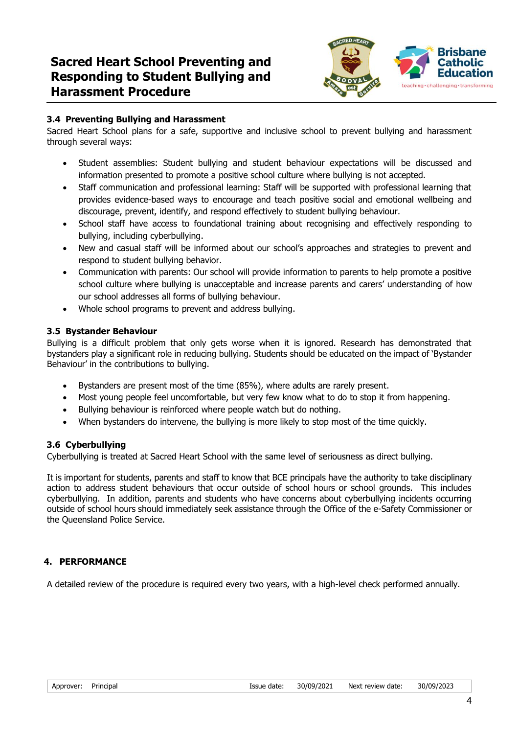

## **3.4 Preventing Bullying and Harassment**

Sacred Heart School plans for a safe, supportive and inclusive school to prevent bullying and harassment through several ways:

- Student assemblies: Student bullying and student behaviour expectations will be discussed and information presented to promote a positive school culture where bullying is not accepted.
- Staff communication and professional learning: Staff will be supported with professional learning that provides evidence-based ways to encourage and teach positive social and emotional wellbeing and discourage, prevent, identify, and respond effectively to student bullying behaviour.
- School staff have access to foundational training about recognising and effectively responding to bullying, including cyberbullying.
- New and casual staff will be informed about our school's approaches and strategies to prevent and respond to student bullying behavior.
- Communication with parents: Our school will provide information to parents to help promote a positive school culture where bullying is unacceptable and increase parents and carers' understanding of how our school addresses all forms of bullying behaviour.
- Whole school programs to prevent and address bullying.

## **3.5 Bystander Behaviour**

Bullying is a difficult problem that only gets worse when it is ignored. Research has demonstrated that bystanders play a significant role in reducing bullying. Students should be educated on the impact of 'Bystander Behaviour' in the contributions to bullying.

- Bystanders are present most of the time (85%), where adults are rarely present.
- Most young people feel uncomfortable, but very few know what to do to stop it from happening.
- Bullying behaviour is reinforced where people watch but do nothing.
- When bystanders do intervene, the bullying is more likely to stop most of the time quickly.

### **3.6 Cyberbullying**

Cyberbullying is treated at Sacred Heart School with the same level of seriousness as direct bullying.

It is important for students, parents and staff to know that BCE principals have the authority to take disciplinary action to address student behaviours that occur outside of school hours or school grounds. This includes cyberbullying. In addition, parents and students who have concerns about cyberbullying incidents occurring outside of school hours should immediately seek assistance through the [Office of the e-Safety Commissioner](https://www.esafety.gov.au/) or the Queensland Police Service.

## **4. PERFORMANCE**

A detailed review of the procedure is required every two years, with a high-level check performed annually.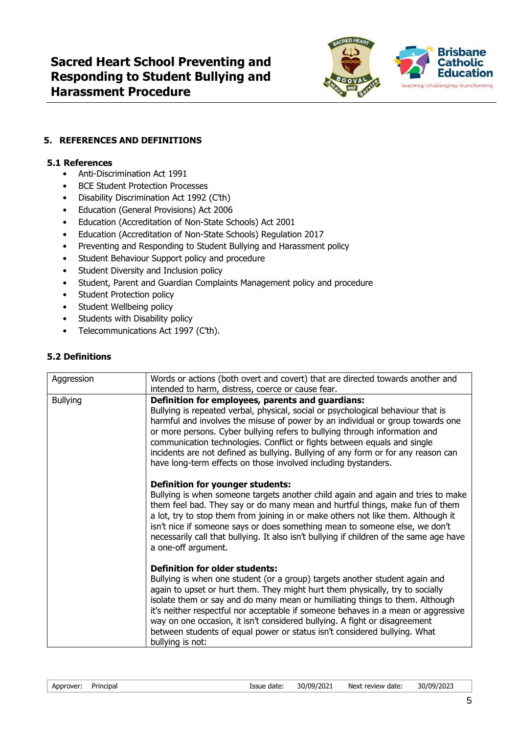

## **5. REFERENCES AND DEFINITIONS**

### **5.1 References**

- Anti-Discrimination Act 1991
- **BCE Student Protection Processes**
- Disability Discrimination Act 1992 (C'th)
- Education (General Provisions) Act 2006
- Education (Accreditation of Non-State Schools) Act 2001
- Education (Accreditation of Non-State Schools) Regulation 2017
- Preventing and Responding to Student Bullying and Harassment policy
- Student Behaviour Support policy and procedure
- Student Diversity and Inclusion policy
- Student, Parent and Guardian Complaints Management policy and procedure
- Student Protection policy
- Student Wellbeing policy
- Students with Disability policy
- Telecommunications Act 1997 (C'th).

### **5.2 Definitions**

| Aggression      | Words or actions (both overt and covert) that are directed towards another and<br>intended to harm, distress, coerce or cause fear.                                                                                                                                                                                                                                                                                                                                                                                                                       |
|-----------------|-----------------------------------------------------------------------------------------------------------------------------------------------------------------------------------------------------------------------------------------------------------------------------------------------------------------------------------------------------------------------------------------------------------------------------------------------------------------------------------------------------------------------------------------------------------|
| <b>Bullying</b> | Definition for employees, parents and guardians:<br>Bullying is repeated verbal, physical, social or psychological behaviour that is<br>harmful and involves the misuse of power by an individual or group towards one<br>or more persons. Cyber bullying refers to bullying through information and<br>communication technologies. Conflict or fights between equals and single<br>incidents are not defined as bullying. Bullying of any form or for any reason can<br>have long-term effects on those involved including bystanders.                   |
|                 | Definition for younger students:<br>Bullying is when someone targets another child again and again and tries to make<br>them feel bad. They say or do many mean and hurtful things, make fun of them<br>a lot, try to stop them from joining in or make others not like them. Although it<br>isn't nice if someone says or does something mean to someone else, we don't<br>necessarily call that bullying. It also isn't bullying if children of the same age have<br>a one-off argument.                                                                |
|                 | <b>Definition for older students:</b><br>Bullying is when one student (or a group) targets another student again and<br>again to upset or hurt them. They might hurt them physically, try to socially<br>isolate them or say and do many mean or humiliating things to them. Although<br>it's neither respectful nor acceptable if someone behaves in a mean or aggressive<br>way on one occasion, it isn't considered bullying. A fight or disagreement<br>between students of equal power or status isn't considered bullying. What<br>bullying is not: |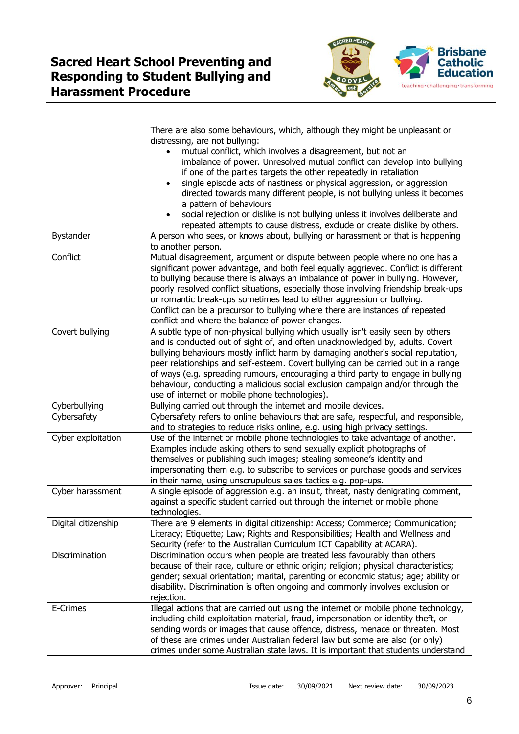

 $\overline{\phantom{0}}$ 

|                     | There are also some behaviours, which, although they might be unpleasant or<br>distressing, are not bullying:<br>mutual conflict, which involves a disagreement, but not an<br>imbalance of power. Unresolved mutual conflict can develop into bullying<br>if one of the parties targets the other repeatedly in retaliation<br>single episode acts of nastiness or physical aggression, or aggression<br>$\bullet$<br>directed towards many different people, is not bullying unless it becomes<br>a pattern of behaviours<br>social rejection or dislike is not bullying unless it involves deliberate and<br>repeated attempts to cause distress, exclude or create dislike by others. |
|---------------------|-------------------------------------------------------------------------------------------------------------------------------------------------------------------------------------------------------------------------------------------------------------------------------------------------------------------------------------------------------------------------------------------------------------------------------------------------------------------------------------------------------------------------------------------------------------------------------------------------------------------------------------------------------------------------------------------|
| Bystander           | A person who sees, or knows about, bullying or harassment or that is happening<br>to another person.                                                                                                                                                                                                                                                                                                                                                                                                                                                                                                                                                                                      |
| Conflict            | Mutual disagreement, argument or dispute between people where no one has a<br>significant power advantage, and both feel equally aggrieved. Conflict is different<br>to bullying because there is always an imbalance of power in bullying. However,<br>poorly resolved conflict situations, especially those involving friendship break-ups<br>or romantic break-ups sometimes lead to either aggression or bullying.<br>Conflict can be a precursor to bullying where there are instances of repeated<br>conflict and where the balance of power changes.                                                                                                                               |
| Covert bullying     | A subtle type of non-physical bullying which usually isn't easily seen by others<br>and is conducted out of sight of, and often unacknowledged by, adults. Covert<br>bullying behaviours mostly inflict harm by damaging another's social reputation,<br>peer relationships and self-esteem. Covert bullying can be carried out in a range<br>of ways (e.g. spreading rumours, encouraging a third party to engage in bullying<br>behaviour, conducting a malicious social exclusion campaign and/or through the<br>use of internet or mobile phone technologies).                                                                                                                        |
| Cyberbullying       | Bullying carried out through the internet and mobile devices.                                                                                                                                                                                                                                                                                                                                                                                                                                                                                                                                                                                                                             |
| Cybersafety         | Cybersafety refers to online behaviours that are safe, respectful, and responsible,<br>and to strategies to reduce risks online, e.g. using high privacy settings.                                                                                                                                                                                                                                                                                                                                                                                                                                                                                                                        |
| Cyber exploitation  | Use of the internet or mobile phone technologies to take advantage of another.<br>Examples include asking others to send sexually explicit photographs of<br>themselves or publishing such images; stealing someone's identity and<br>impersonating them e.g. to subscribe to services or purchase goods and services<br>in their name, using unscrupulous sales tactics e.g. pop-ups.                                                                                                                                                                                                                                                                                                    |
| Cyber harassment    | A single episode of aggression e.g. an insult, threat, nasty denigrating comment,<br>against a specific student carried out through the internet or mobile phone<br>technologies.                                                                                                                                                                                                                                                                                                                                                                                                                                                                                                         |
| Digital citizenship | There are 9 elements in digital citizenship: Access; Commerce; Communication;<br>Literacy; Etiquette; Law; Rights and Responsibilities; Health and Wellness and<br>Security (refer to the Australian Curriculum ICT Capability at ACARA).                                                                                                                                                                                                                                                                                                                                                                                                                                                 |
| Discrimination      | Discrimination occurs when people are treated less favourably than others<br>because of their race, culture or ethnic origin; religion; physical characteristics;<br>gender; sexual orientation; marital, parenting or economic status; age; ability or<br>disability. Discrimination is often ongoing and commonly involves exclusion or<br>rejection.                                                                                                                                                                                                                                                                                                                                   |
| E-Crimes            | Illegal actions that are carried out using the internet or mobile phone technology,<br>including child exploitation material, fraud, impersonation or identity theft, or<br>sending words or images that cause offence, distress, menace or threaten. Most<br>of these are crimes under Australian federal law but some are also (or only)<br>crimes under some Australian state laws. It is important that students understand                                                                                                                                                                                                                                                           |